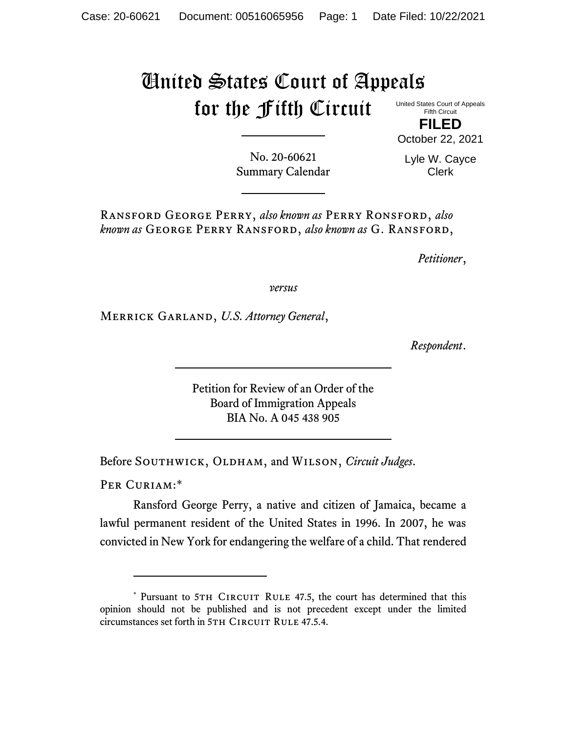## United States Court of Appeals for the Fifth Circuit

United States Court of Appeals Fifth Circuit

**FILED** October 22, 2021

No. 20-60621 Summary Calendar

Lyle W. Cayce Clerk

Ransford George Perry, *also known as* Perry Ronsford, *also known as* George Perry Ransford, *also known as* G. Ransford,

*Petitioner*,

*versus*

Merrick Garland, *U.S. Attorney General*,

*Respondent*.

Petition for Review of an Order of the Board of Immigration Appeals BIA No. A 045 438 905

Before SOUTHWICK, OLDHAM, and WILSON, *Circuit Judges*.

PER CURIAM:\*

Ransford George Perry, a native and citizen of Jamaica, became a lawful permanent resident of the United States in 1996. In 2007, he was convicted in New York for endangering the welfare of a child. That rendered

<sup>\*</sup> Pursuant to 5TH CIRCUIT RULE 47.5, the court has determined that this opinion should not be published and is not precedent except under the limited circumstances set forth in 5TH CIRCUIT RULE 47.5.4.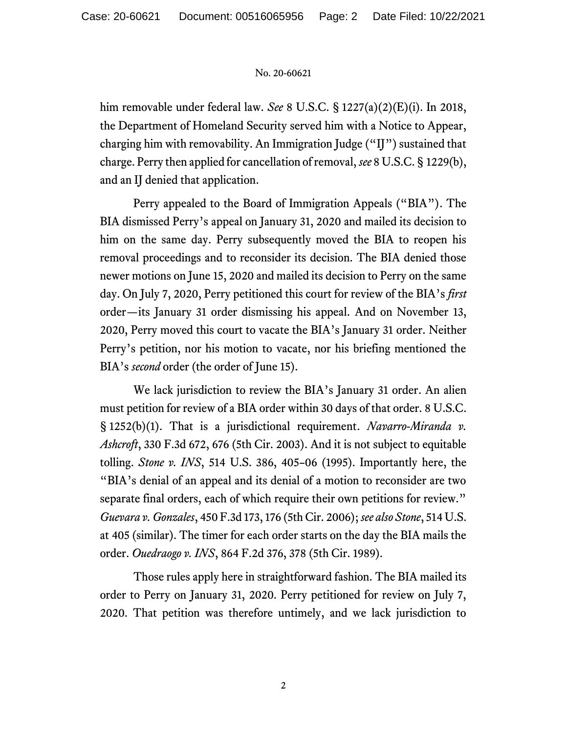## No. 20-60621

him removable under federal law. *See* 8 U.S.C. § 1227(a)(2)(E)(i). In 2018, the Department of Homeland Security served him with a Notice to Appear, charging him with removability. An Immigration Judge ("IJ") sustained that charge. Perry then applied for cancellation of removal, *see* 8 U.S.C. § 1229(b), and an IJ denied that application.

Perry appealed to the Board of Immigration Appeals ("BIA"). The BIA dismissed Perry's appeal on January 31, 2020 and mailed its decision to him on the same day. Perry subsequently moved the BIA to reopen his removal proceedings and to reconsider its decision. The BIA denied those newer motions on June 15, 2020 and mailed its decision to Perry on the same day. On July 7, 2020, Perry petitioned this court for review of the BIA's *first* order—its January 31 order dismissing his appeal. And on November 13, 2020, Perry moved this court to vacate the BIA's January 31 order. Neither Perry's petition, nor his motion to vacate, nor his briefing mentioned the BIA's *second* order (the order of June 15).

We lack jurisdiction to review the BIA's January 31 order. An alien must petition for review of a BIA order within 30 days of that order. 8 U.S.C. § 1252(b)(1). That is a jurisdictional requirement. *Navarro-Miranda v. Ashcroft*, 330 F.3d 672, 676 (5th Cir. 2003). And it is not subject to equitable tolling. *Stone v. INS*, 514 U.S. 386, 405–06 (1995). Importantly here, the "BIA's denial of an appeal and its denial of a motion to reconsider are two separate final orders, each of which require their own petitions for review." *Guevara v. Gonzales*, 450 F.3d 173, 176 (5th Cir. 2006); *see also Stone*, 514 U.S. at 405 (similar). The timer for each order starts on the day the BIA mails the order. *Ouedraogo v. INS*, 864 F.2d 376, 378 (5th Cir. 1989).

Those rules apply here in straightforward fashion. The BIA mailed its order to Perry on January 31, 2020. Perry petitioned for review on July 7, 2020. That petition was therefore untimely, and we lack jurisdiction to